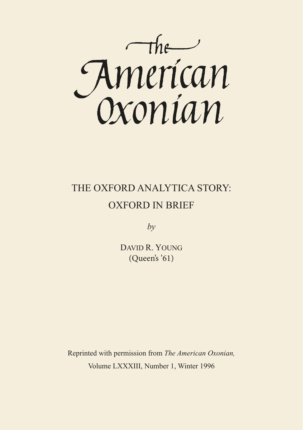

## THE OXFORD ANALYTICA STORY: OXFORD IN BRIEF

 $b\nu$ 

DAVID R. YOUNG (Queen's '61)

Reprinted with permission from *The American Oxonian,*  Volume LXXXIII, Number 1, Winter 1996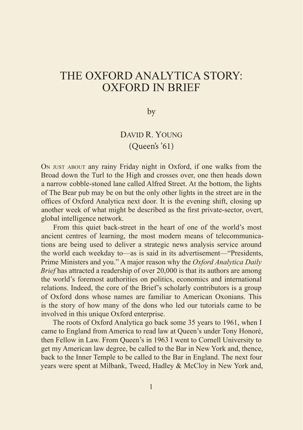## THE OXFORD ANALYTICA STORY: OXFORD IN BRIEF

by

## DAVID R. YOUNG (Queen's '61)

On just about any rainy Friday night in Oxford, if one walks from the Broad down the Turl to the High and crosses over, one then heads down a narrow cobble-stoned lane called Alfred Street. At the bottom, the lights of The Bear pub may be on but the only other lights in the street are in the offices of Oxford Analytica next door. It is the evening shift, closing up another week of what might be described as the first private-sector, overt, global intelligence network.

From this quiet back-street in the heart of one of the world's most ancient centres of learning, the most modern means of telecommunications are being used to deliver a strategic news analysis service around the world each weekday to—as is said in its advertisement—"Presidents, Prime Ministers and you." A major reason why the *Oxford Analytica Daily Brief* has attracted a readership of over 20,000 is that its authors are among the world's foremost authorities on politics, economics and international relations. Indeed, the core of the Brief's scholarly contributors is a group of Oxford dons whose names are familiar to American Oxonians. This is the story of how many of the dons who led our tutorials came to be involved in this unique Oxford enterprise.

The roots of Oxford Analytica go back some 35 years to 1961, when I came to England from America to read law at Queen's under Tony Honoré, then Fellow in Law. From Queen's in 1963 I went to Cornell University to get my American law degree, be called to the Bar in New York and, thence, back to the Inner Temple to be called to the Bar in England. The next four years were spent at Milbank, Tweed, Hadley & McCloy in New York and,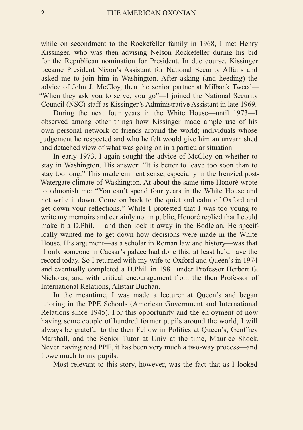while on secondment to the Rockefeller family in 1968, I met Henry Kissinger, who was then advising Nelson Rockefeller during his bid for the Republican nomination for President. In due course, Kissinger became President Nixon's Assistant for National Security Affairs and asked me to join him in Washington. After asking (and heeding) the advice of John J. McCloy, then the senior partner at Milbank Tweed— "When they ask you to serve, you go"—I joined the National Security Council (NSC) staff as Kissinger's Administrative Assistant in late 1969.

During the next four years in the White House—until 1973—I observed among other things how Kissinger made ample use of his own personal network of friends around the world; individuals whose judgement he respected and who he felt would give him an unvarnished and detached view of what was going on in a particular situation.

In early 1973, I again sought the advice of McCloy on whether to stay in Washington. His answer: "It is better to leave too soon than to stay too long." This made eminent sense, especially in the frenzied post-Watergate climate of Washington. At about the same time Honoré wrote to admonish me: "You can't spend four years in the White House and not write it down. Come on back to the quiet and calm of Oxford and get down your reflections." While I protested that I was too young to write my memoirs and certainly not in public. Honoré replied that I could make it a D.Phil. —and then lock it away in the Bodleian. He specifically wanted me to get down how decisions were made in the White House. His argument—as a scholar in Roman law and history—was that if only someone in Caesar's palace had done this, at least he'd have the record today. So I returned with my wife to Oxford and Queen's in 1974 and eventually completed a D.Phil. in 1981 under Professor Herbert G. Nicholas, and with critical encouragement from the then Professor of International Relations, Alistair Buchan.

In the meantime, I was made a lecturer at Queen's and began tutoring in the PPE Schools (American Government and International Relations since 1945). For this opportunity and the enjoyment of now having some couple of hundred former pupils around the world, I will always be grateful to the then Fellow in Politics at Queen's, Geoffrey Marshall, and the Senior Tutor at Univ at the time, Maurice Shock. Never having read PPE, it has been very much a two-way process—and I owe much to my pupils.

Most relevant to this story, however, was the fact that as I looked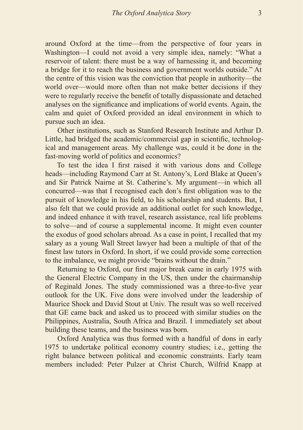around Oxford at the time—from the perspective of four years in Washington—I could not avoid a very simple idea, namely: "What a reservoir of talent: there must be a way of harnessing it, and becoming a bridge for it to reach the business and government worlds outside." At the centre of this vision was the conviction that people in authority—the world over—would more often than not make better decisions if they were to regularly receive the benefit of totally dispassionate and detached analyses on the significance and implications of world events. Again, the calm and quiet of Oxford provided an ideal environment in which to pursue such an idea.

Other institutions, such as Stanford Research Institute and Arthur D. Little, had bridged the academic/commercial gap in scientific, technological and management areas. My challenge was, could it be done in the fast-moving world of politics and economics?

To test the idea I first raised it with various dons and College heads—including Raymond Carr at St. Antony's, Lord Blake at Queen's and Sir Patrick Nairne at St. Catherine's. My argument—in which all concurred—was that I recognised each don's first obligation was to the pursuit of knowledge in his field, to his scholarship and students. But, I also felt that we could provide an additional outlet for such knowledge, and indeed enhance it with travel, research assistance, real life problems to solve—and of course a supplemental income. It might even counter the exodus of good scholars abroad. As a case in point, I recalled that my salary as a young Wall Street lawyer had been a multiple of that of the finest law tutors in Oxford. In short, if we could provide some correction to the imbalance, we might provide "brains without the drain."

Returning to Oxford, our first major break came in early 1975 with the General Electric Company in the US, then under the chairmanship of Reginald Jones. The study commissioned was a three-to-five year outlook for the UK. Five dons were involved under the leadership of Maurice Shock and David Stout at Univ. The result was so well received that GE came back and asked us to proceed with similar studies on the Philippines, Australia, South Africa and Brazil. I immediately set about building these teams, and the business was born.

Oxford Analytica was thus formed with a handful of dons in early 1975 to undertake political economy country studies; i.e., getting the right balance between political and economic constraints. Early team members included: Peter Pulzer at Christ Church, Wilfrid Knapp at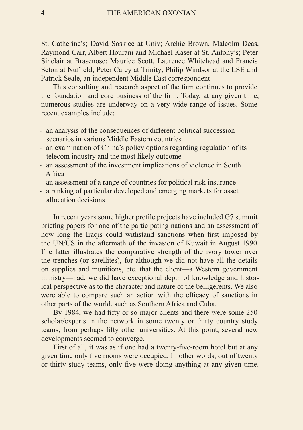St. Catherine's; David Soskice at Univ; Archie Brown, Malcolm Deas, Raymond Carr, Albert Hourani and Michael Kaser at St. Antony's; Peter Sinclair at Brasenose; Maurice Scott, Laurence Whitehead and Francis Seton at Nuffield; Peter Carey at Trinity; Philip Windsor at the LSE and Patrick Seale, an independent Middle East correspondent

This consulting and research aspect of the firm continues to provide the foundation and core business of the firm. Today, at any given time, numerous studies are underway on a very wide range of issues. Some recent examples include:

- an analysis of the consequences of different political succession scenarios in various Middle Eastern countries
- an examination of China's policy options regarding regulation of its telecom industry and the most likely outcome
- an assessment of the investment implications of violence in South Africa
- an assessment of a range of countries for political risk insurance
- a ranking of particular developed and emerging markets for asset allocation decisions

In recent years some higher profile projects have included G7 summit briefing papers for one of the participating nations and an assessment of how long the Iraqis could withstand sanctions when first imposed by the UN/US in the aftermath of the invasion of Kuwait in August 1990. The latter illustrates the comparative strength of the ivory tower over the trenches (or satellites), for although we did not have all the details on supplies and munitions, etc. that the client—a Western government ministry—had, we did have exceptional depth of knowledge and historical perspective as to the character and nature of the belligerents. We also were able to compare such an action with the efficacy of sanctions in other parts of the world, such as Southern Africa and Cuba.

By 1984, we had fifty or so major clients and there were some 250 scholar/experts in the network in some twenty or thirty country study teams, from perhaps fifty other universities. At this point, several new developments seemed to converge.

First of all, it was as if one had a twenty-five-room hotel but at any given time only five rooms were occupied. In other words, out of twenty or thirty study teams, only five were doing anything at any given time.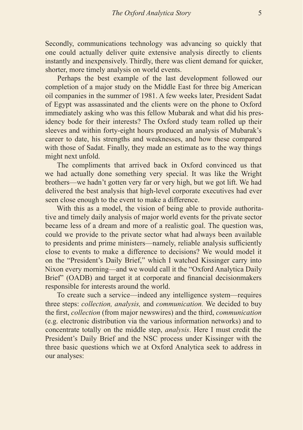Secondly, communications technology was advancing so quickly that one could actually deliver quite extensive analysis directly to clients instantly and inexpensively. Thirdly, there was client demand for quicker, shorter, more timely analysis on world events.

Perhaps the best example of the last development followed our completion of a major study on the Middle East for three big American oil companies in the summer of 1981. A few weeks later, President Sadat of Egypt was assassinated and the clients were on the phone to Oxford immediately asking who was this fellow Mubarak and what did his presidency bode for their interests? The Oxford study team rolled up their sleeves and within forty-eight hours produced an analysis of Mubarak's career to date, his strengths and weaknesses, and how these compared with those of Sadat. Finally, they made an estimate as to the way things might next unfold.

The compliments that arrived back in Oxford convinced us that we had actually done something very special. It was like the Wright brothers—we hadn't gotten very far or very high, but we got lift. We had delivered the best analysis that high-level corporate executives had ever seen close enough to the event to make a difference.

With this as a model, the vision of being able to provide authoritative and timely daily analysis of major world events for the private sector became less of a dream and more of a realistic goal. The question was, could we provide to the private sector what had always been available to presidents and prime ministers—namely, reliable analysis sufficiently close to events to make a difference to decisions? We would model it on the "President's Daily Brief," which I watched Kissinger carry into Nixon every morning—and we would call it the "Oxford Analytica Daily Brief" (OADB) and target it at corporate and financial decisionmakers responsible for interests around the world.

To create such a service—indeed any intelligence system—requires three steps: *collection, analysis,* and *communication.* We decided to buy the first, *collection* (from major newswires) and the third, *communication*  (e.g. electronic distribution via the various information networks) and to concentrate totally on the middle step, *analysis*. Here I must credit the President's Daily Brief and the NSC process under Kissinger with the three basic questions which we at Oxford Analytica seek to address in our analyses: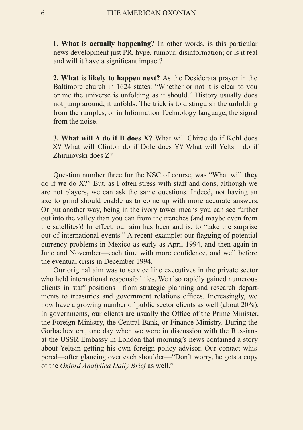**1. What is actually happening?** In other words, is this particular news development just PR, hype, rumour, disinformation; or is it real and will it have a significant impact?

**2. What is likely to happen next?** As the Desiderata prayer in the Baltimore church in 1624 states: "Whether or not it is clear to you or me the universe is unfolding as it should." History usually does not jump around; it unfolds. The trick is to distinguish the unfolding from the rumples, or in Information Technology language, the signal from the noise.

**3. What will A do if B does X?** What will Chirac do if Kohl does X? What will Clinton do if Dole does Y? What will Yeltsin do if Zhirinovski does Z?

Question number three for the NSC of course, was "What will **they** do if **we** do X?" But, as I often stress with staff and dons, although we are not players, we can ask the same questions. Indeed, not having an axe to grind should enable us to come up with more accurate answers. Or put another way, being in the ivory tower means you can see further out into the valley than you can from the trenches (and maybe even from the satellites)! In effect, our aim has been and is, to "take the surprise out of international events." A recent example: our flagging of potential currency problems in Mexico as early as April 1994, and then again in June and November—each time with more confidence, and well before the eventual crisis in December 1994.

Our original aim was to service line executives in the private sector who held international responsibilities. We also rapidly gained numerous clients in staff positions—from strategic planning and research departments to treasuries and government relations offices. Increasingly, we now have a growing number of public sector clients as well (about 20%). In governments, our clients are usually the Office of the Prime Minister, the Foreign Ministry, the Central Bank, or Finance Ministry. During the Gorbachev era, one day when we were in discussion with the Russians at the USSR Embassy in London that morning's news contained a story about Yeltsin getting his own foreign policy advisor. Our contact whispered—after glancing over each shoulder—"Don't worry, he gets a copy of the *Oxford Analytica Daily Brief* as well."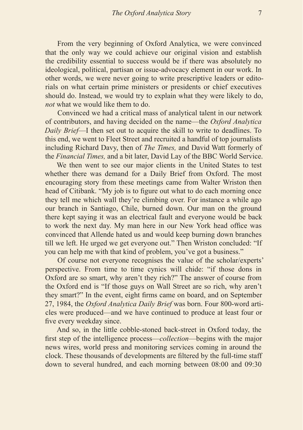From the very beginning of Oxford Analytica, we were convinced that the only way we could achieve our original vision and establish the credibility essential to success would be if there was absolutely no ideological, political, partisan or issue-advocacy element in our work. In other words, we were never going to write prescriptive leaders or editorials on what certain prime ministers or presidents or chief executives should do. Instead, we would try to explain what they were likely to do, *not* what we would like them to do.

Convinced we had a critical mass of analytical talent in our network of contributors, and having decided on the name—the *Oxford Analytica Daily Brief*—I then set out to acquire the skill to write to deadlines. To this end, we went to Fleet Street and recruited a handful of top journalists including Richard Davy, then of *The Times,* and David Watt formerly of the *Financial Times,* and a bit later, David Lay of the BBC World Service.

We then went to see our major clients in the United States to test whether there was demand for a Daily Brief from Oxford. The most encouraging story from these meetings came from Walter Wriston then head of Citibank. "My job is to figure out what to do each morning once they tell me which wall they're climbing over. For instance a while ago our branch in Santiago, Chile, burned down. Our man on the ground there kept saying it was an electrical fault and everyone would be back to work the next day. My man here in our New York head office was convinced that Allende hated us and would keep burning down branches till we left. He urged we get everyone out." Then Wriston concluded: "If you can help me with that kind of problem, you've got a business."

Of course not everyone recognises the value of the scholar/experts' perspective. From time to time cynics will chide: "if those dons in Oxford are so smart, why aren't they rich?" The answer of course from the Oxford end is "If those guys on Wall Street are so rich, why aren't they smart?" In the event, eight firms came on board, and on September 27, 1984, the *Oxford Analytica Daily Brief* was born. Four 800-word articles were produced—and we have continued to produce at least four or five every weekday since.

And so, in the little cobble-stoned back-street in Oxford today, the first step of the intelligence process—*collection*—begins with the major news wires, world press and monitoring services coming in around the clock. These thousands of developments are filtered by the full-time staff down to several hundred, and each morning between 08:00 and 09:30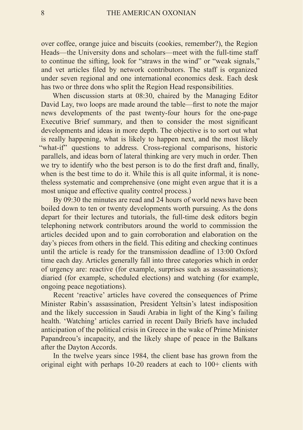over coffee, orange juice and biscuits (cookies, remember?), the Region Heads—the University dons and scholars—meet with the full-time staff to continue the sifting, look for "straws in the wind" or "weak signals," and vet articles filed by network contributors. The staff is organized under seven regional and one international economics desk. Each desk has two or three dons who split the Region Head responsibilities.

When discussion starts at 08:30, chaired by the Managing Editor David Lay, two loops are made around the table—first to note the major news developments of the past twenty-four hours for the one-page Executive Brief summary, and then to consider the most significant developments and ideas in more depth. The objective is to sort out what is really happening, what is likely to happen next, and the most likely "what-if" questions to address. Cross-regional comparisons, historic parallels, and ideas born of lateral thinking are very much in order. Then we try to identify who the best person is to do the first draft and, finally, when is the best time to do it. While this is all quite informal, it is nonetheless systematic and comprehensive (one might even argue that it is a most unique and effective quality control process.)

By 09:30 the minutes are read and 24 hours of world news have been boiled down to ten or twenty developments worth pursuing. As the dons depart for their lectures and tutorials, the full-time desk editors begin telephoning network contributors around the world to commission the articles decided upon and to gain corroboration and elaboration on the day's pieces from others in the field. This editing and checking continues until the article is ready for the transmission deadline of 13:00 Oxford time each day. Articles generally fall into three categories which in order of urgency are: reactive (for example, surprises such as assassinations); diaried (for example, scheduled elections) and watching (for example, ongoing peace negotiations).

Recent 'reactive' articles have covered the consequences of Prime Minister Rabin's assassination, President Yeltsin's latest indisposition and the likely succession in Saudi Arabia in light of the King's failing health. 'Watching' articles carried in recent Daily Briefs have included anticipation of the political crisis in Greece in the wake of Prime Minister Papandreou's incapacity, and the likely shape of peace in the Balkans after the Dayton Accords.

In the twelve years since 1984, the client base has grown from the original eight with perhaps 10-20 readers at each to 100+ clients with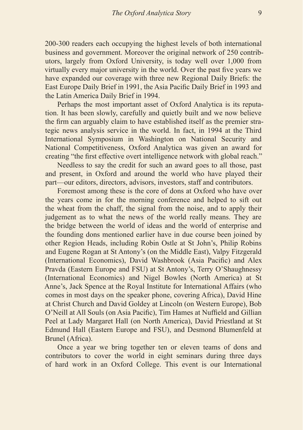200-300 readers each occupying the highest levels of both international business and government. Moreover the original network of 250 contributors, largely from Oxford University, is today well over 1,000 from virtually every major university in the world. Over the past five years we have expanded our coverage with three new Regional Daily Briefs: the East Europe Daily Brief in 1991, the Asia Pacific Daily Brief in 1993 and the Latin America Daily Brief in 1994.

Perhaps the most important asset of Oxford Analytica is its reputation. It has been slowly, carefully and quietly built and we now believe the firm can arguably claim to have established itself as the premier strategic news analysis service in the world. In fact, in 1994 at the Third International Symposium in Washington on National Security and National Competitiveness, Oxford Analytica was given an award for creating "the first effective overt intelligence network with global reach."

Needless to say the credit for such an award goes to all those, past and present, in Oxford and around the world who have played their part—our editors, directors, advisors, investors, staff and contributors.

Foremost among these is the core of dons at Oxford who have over the years come in for the morning conference and helped to sift out the wheat from the chaff, the signal from the noise, and to apply their judgement as to what the news of the world really means. They are the bridge between the world of ideas and the world of enterprise and the founding dons mentioned earlier have in due course been joined by other Region Heads, including Robin Ostle at St John's, Philip Robins and Eugene Rogan at St Antony's (on the Middle East), Valpy Fitzgerald (International Economics), David Washbrook (Asia Pacific) and Alex Pravda (Eastern Europe and FSU) at St Antony's, Terry O'Shaughnessy (International Economics) and Nigel Bowles (North America) at St Anne's, Jack Spence at the Royal Institute for International Affairs (who comes in most days on the speaker phone, covering Africa), David Hine at Christ Church and David Goldey at Lincoln (on Western Europe), Bob O'Neill at All Souls (on Asia Pacific), Tim Hames at Nuffield and Gillian Peel at Lady Margaret Hall (on North America), David Priestland at St Edmund Hall (Eastern Europe and FSU), and Desmond Blumenfeld at Brunel (Africa).

Once a year we bring together ten or eleven teams of dons and contributors to cover the world in eight seminars during three days of hard work in an Oxford College. This event is our International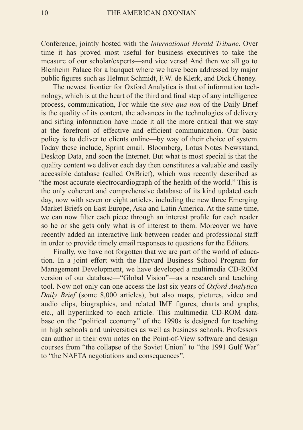Conference, jointly hosted with the *lnternational Herald Tribune*. Over time it has proved most useful for business executives to take the measure of our scholar/experts—and vice versa! And then we all go to Blenheim Palace for a banquet where we have been addressed by major public figures such as Helmut Schmidt, F.W. de Klerk, and Dick Cheney.

The newest frontier for Oxford Analytica is that of information technology, which is at the heart of the third and final step of any intelligence process, communication, For while the *sine qua non* of the Daily Brief is the quality of its content, the advances in the technologies of delivery and sifting information have made it all the more critical that we stay at the forefront of effective and efficient communication. Our basic policy is to deliver to clients online—by way of their choice of system. Today these include, Sprint email, Bloomberg, Lotus Notes Newsstand, Desktop Data, and soon the Internet. But what is most special is that the quality content we deliver each day then constitutes a valuable and easily accessible database (called OxBrief), which was recently described as "the most accurate electrocardiograph of the health of the world." This is the only coherent and comprehensive database of its kind updated each day, now with seven or eight articles, including the new three Emerging Market Briefs on East Europe, Asia and Latin America. At the same time, we can now filter each piece through an interest profile for each reader so he or she gets only what is of interest to them. Moreover we have recently added an interactive link between reader and professional staff in order to provide timely email responses to questions for the Editors.

Finally, we have not forgotten that we are part of the world of education. In a joint effort with the Harvard Business School Program for Management Development, we have developed a multimedia CD-ROM version of our database—"Global Vision"—as a research and teaching tool. Now not only can one access the last six years of *Oxford Analytica Daily Brief* (some 8,000 articles), but also maps, pictures, video and audio clips, biographies, and related IMF figures, charts and graphs, etc., all hyperlinked to each article. This multimedia CD-ROM database on the "political economy" of the 1990s is designed for teaching in high schools and universities as well as business schools. Professors can author in their own notes on the Point-of-View software and design courses from "the collapse of the Soviet Union" to "the 1991 Gulf War" to "the NAFTA negotiations and consequences".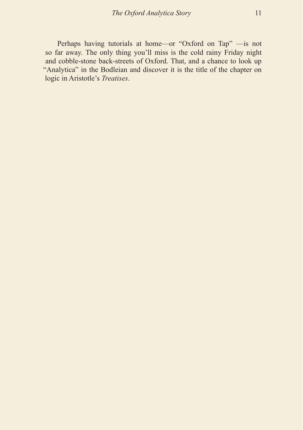Perhaps having tutorials at home—or "Oxford on Tap" —is not so far away. The only thing you'll miss is the cold rainy Friday night and cobble-stone back-streets of Oxford. That, and a chance to look up "Analytica" in the Bodleian and discover it is the title of the chapter on logic in Aristotle's *Treatises*.